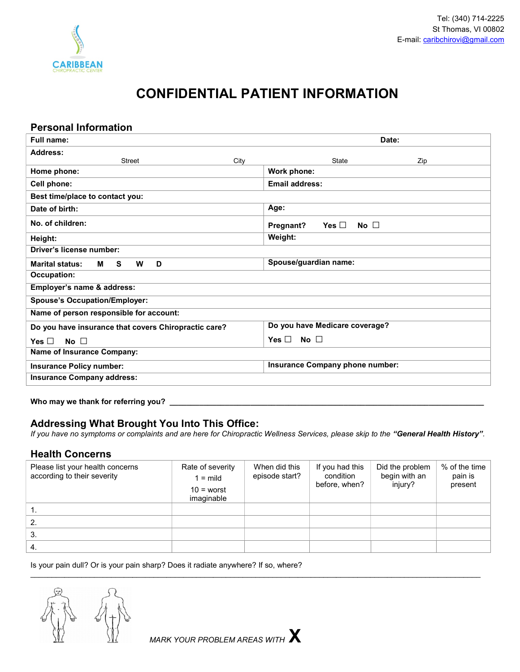

# CONFIDENTIAL PATIENT INFORMATION

#### Personal Information

| Date:                                |  |  |  |  |
|--------------------------------------|--|--|--|--|
|                                      |  |  |  |  |
| State<br>Zip                         |  |  |  |  |
| Work phone:                          |  |  |  |  |
| Email address:                       |  |  |  |  |
|                                      |  |  |  |  |
| Age:                                 |  |  |  |  |
| Yes $\Box$<br>No $\Box$<br>Pregnant? |  |  |  |  |
| Weight:                              |  |  |  |  |
|                                      |  |  |  |  |
| Spouse/guardian name:                |  |  |  |  |
|                                      |  |  |  |  |
|                                      |  |  |  |  |
|                                      |  |  |  |  |
|                                      |  |  |  |  |
| Do you have Medicare coverage?       |  |  |  |  |
| Yes $\Box$<br>No $\Box$              |  |  |  |  |
| <b>Name of Insurance Company:</b>    |  |  |  |  |
| Insurance Company phone number:      |  |  |  |  |
|                                      |  |  |  |  |
|                                      |  |  |  |  |

#### Who may we thank for referring you? \_

# Addressing What Brought You Into This Office:

If you have no symptoms or complaints and are here for Chiropractic Wellness Services, please skip to the "General Health History".

#### Health Concerns

| Please list your health concerns<br>according to their severity | Rate of severity<br>$1 = \text{mild}$<br>$10 =$ worst<br>imaginable | When did this<br>episode start? | If you had this<br>condition<br>before, when? | Did the problem<br>begin with an<br>injury? | % of the time<br>pain is<br>present |
|-----------------------------------------------------------------|---------------------------------------------------------------------|---------------------------------|-----------------------------------------------|---------------------------------------------|-------------------------------------|
|                                                                 |                                                                     |                                 |                                               |                                             |                                     |
| -2.                                                             |                                                                     |                                 |                                               |                                             |                                     |
| -3.                                                             |                                                                     |                                 |                                               |                                             |                                     |
| 4.                                                              |                                                                     |                                 |                                               |                                             |                                     |

 $\mathcal{L}_\mathcal{L} = \{ \mathcal{L}_\mathcal{L} = \{ \mathcal{L}_\mathcal{L} = \{ \mathcal{L}_\mathcal{L} = \{ \mathcal{L}_\mathcal{L} = \{ \mathcal{L}_\mathcal{L} = \{ \mathcal{L}_\mathcal{L} = \{ \mathcal{L}_\mathcal{L} = \{ \mathcal{L}_\mathcal{L} = \{ \mathcal{L}_\mathcal{L} = \{ \mathcal{L}_\mathcal{L} = \{ \mathcal{L}_\mathcal{L} = \{ \mathcal{L}_\mathcal{L} = \{ \mathcal{L}_\mathcal{L} = \{ \mathcal{L}_\mathcal{$ 

Is your pain dull? Or is your pain sharp? Does it radiate anywhere? If so, where?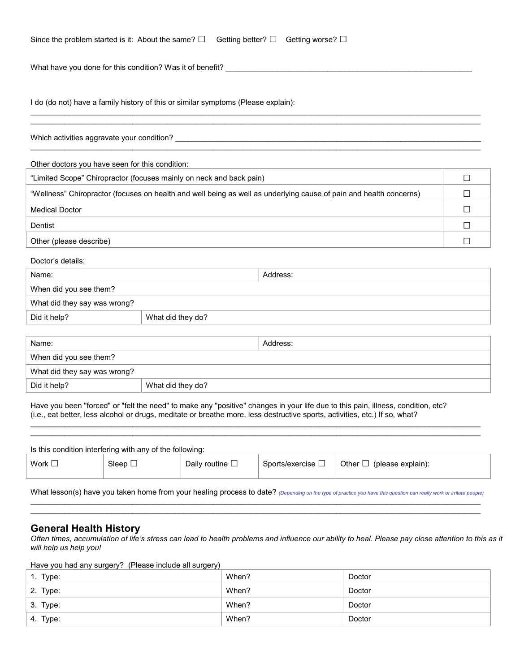| Since the problem started is it: About the same? $\square$ Getting better? $\square$ Getting worse? $\square$ |  |  |
|---------------------------------------------------------------------------------------------------------------|--|--|

What have you done for this condition? Was it of benefit?

I do (do not) have a family history of this or similar symptoms (Please explain):

Which activities aggravate your condition? \_\_\_\_\_\_\_\_\_\_\_\_\_\_\_\_\_\_\_\_\_\_\_\_\_\_\_\_\_\_\_\_\_\_\_\_\_\_\_\_\_\_\_\_\_\_\_\_\_\_\_\_\_\_\_\_\_\_\_\_\_\_\_\_\_\_\_\_\_\_\_\_

Other doctors you have seen for this condition:

| "Limited Scope" Chiropractor (focuses mainly on neck and back pain)                                                |  |
|--------------------------------------------------------------------------------------------------------------------|--|
| "Wellness" Chiropractor (focuses on health and well being as well as underlying cause of pain and health concerns) |  |
| <b>Medical Doctor</b>                                                                                              |  |
| Dentist                                                                                                            |  |
| Other (please describe)                                                                                            |  |

 $\mathcal{L}_\mathcal{L} = \{ \mathcal{L}_\mathcal{L} = \{ \mathcal{L}_\mathcal{L} = \{ \mathcal{L}_\mathcal{L} = \{ \mathcal{L}_\mathcal{L} = \{ \mathcal{L}_\mathcal{L} = \{ \mathcal{L}_\mathcal{L} = \{ \mathcal{L}_\mathcal{L} = \{ \mathcal{L}_\mathcal{L} = \{ \mathcal{L}_\mathcal{L} = \{ \mathcal{L}_\mathcal{L} = \{ \mathcal{L}_\mathcal{L} = \{ \mathcal{L}_\mathcal{L} = \{ \mathcal{L}_\mathcal{L} = \{ \mathcal{L}_\mathcal{$  $\mathcal{L}_\mathcal{L} = \{ \mathcal{L}_\mathcal{L} = \{ \mathcal{L}_\mathcal{L} = \{ \mathcal{L}_\mathcal{L} = \{ \mathcal{L}_\mathcal{L} = \{ \mathcal{L}_\mathcal{L} = \{ \mathcal{L}_\mathcal{L} = \{ \mathcal{L}_\mathcal{L} = \{ \mathcal{L}_\mathcal{L} = \{ \mathcal{L}_\mathcal{L} = \{ \mathcal{L}_\mathcal{L} = \{ \mathcal{L}_\mathcal{L} = \{ \mathcal{L}_\mathcal{L} = \{ \mathcal{L}_\mathcal{L} = \{ \mathcal{L}_\mathcal{$ 

\_\_\_\_\_\_\_\_\_\_\_\_\_\_\_\_\_\_\_\_\_\_\_\_\_\_\_\_\_\_\_\_\_\_\_\_\_\_\_\_\_\_\_\_\_\_\_\_\_\_\_\_\_\_\_\_\_\_\_\_\_\_\_\_\_\_\_\_\_\_\_\_\_\_\_\_\_\_\_\_\_\_\_\_\_\_\_\_\_\_\_\_\_\_\_\_\_\_\_\_\_\_\_\_\_\_

Doctor's details:

| Name:                        |                   | Address: |
|------------------------------|-------------------|----------|
| When did you see them?       |                   |          |
| What did they say was wrong? |                   |          |
| Did it help?                 | What did they do? |          |

| Name:                        |                   | Address: |
|------------------------------|-------------------|----------|
| When did you see them?       |                   |          |
| What did they say was wrong? |                   |          |
| Did it help?                 | What did they do? |          |

Have you been "forced" or "felt the need" to make any "positive" changes in your life due to this pain, illness, condition, etc? (i.e., eat better, less alcohol or drugs, meditate or breathe more, less destructive sports, activities, etc.) If so, what?

| Is this condition interfering with any of the following: |                 |                         |                        |                                |  |
|----------------------------------------------------------|-----------------|-------------------------|------------------------|--------------------------------|--|
| Work $\Box$                                              | Sleep $\square$ | Daily routine $\square$ | Sports/exercise $\Box$ | Other $\Box$ (please explain): |  |

 $\mathcal{L}_\mathcal{L} = \{ \mathcal{L}_\mathcal{L} = \{ \mathcal{L}_\mathcal{L} = \{ \mathcal{L}_\mathcal{L} = \{ \mathcal{L}_\mathcal{L} = \{ \mathcal{L}_\mathcal{L} = \{ \mathcal{L}_\mathcal{L} = \{ \mathcal{L}_\mathcal{L} = \{ \mathcal{L}_\mathcal{L} = \{ \mathcal{L}_\mathcal{L} = \{ \mathcal{L}_\mathcal{L} = \{ \mathcal{L}_\mathcal{L} = \{ \mathcal{L}_\mathcal{L} = \{ \mathcal{L}_\mathcal{L} = \{ \mathcal{L}_\mathcal{$  $\mathcal{L}_\mathcal{L} = \{ \mathcal{L}_\mathcal{L} = \{ \mathcal{L}_\mathcal{L} = \{ \mathcal{L}_\mathcal{L} = \{ \mathcal{L}_\mathcal{L} = \{ \mathcal{L}_\mathcal{L} = \{ \mathcal{L}_\mathcal{L} = \{ \mathcal{L}_\mathcal{L} = \{ \mathcal{L}_\mathcal{L} = \{ \mathcal{L}_\mathcal{L} = \{ \mathcal{L}_\mathcal{L} = \{ \mathcal{L}_\mathcal{L} = \{ \mathcal{L}_\mathcal{L} = \{ \mathcal{L}_\mathcal{L} = \{ \mathcal{L}_\mathcal{$ 

What lesson(s) have you taken home from your healing process to date? (Depending on the type of practice you have this question can really work or irritate people)  $\mathcal{L}_\mathcal{L} = \{ \mathcal{L}_\mathcal{L} = \{ \mathcal{L}_\mathcal{L} = \{ \mathcal{L}_\mathcal{L} = \{ \mathcal{L}_\mathcal{L} = \{ \mathcal{L}_\mathcal{L} = \{ \mathcal{L}_\mathcal{L} = \{ \mathcal{L}_\mathcal{L} = \{ \mathcal{L}_\mathcal{L} = \{ \mathcal{L}_\mathcal{L} = \{ \mathcal{L}_\mathcal{L} = \{ \mathcal{L}_\mathcal{L} = \{ \mathcal{L}_\mathcal{L} = \{ \mathcal{L}_\mathcal{L} = \{ \mathcal{L}_\mathcal{$ 

 $\mathcal{L}_\mathcal{L} = \{ \mathcal{L}_\mathcal{L} = \{ \mathcal{L}_\mathcal{L} = \{ \mathcal{L}_\mathcal{L} = \{ \mathcal{L}_\mathcal{L} = \{ \mathcal{L}_\mathcal{L} = \{ \mathcal{L}_\mathcal{L} = \{ \mathcal{L}_\mathcal{L} = \{ \mathcal{L}_\mathcal{L} = \{ \mathcal{L}_\mathcal{L} = \{ \mathcal{L}_\mathcal{L} = \{ \mathcal{L}_\mathcal{L} = \{ \mathcal{L}_\mathcal{L} = \{ \mathcal{L}_\mathcal{L} = \{ \mathcal{L}_\mathcal{$ 

#### General Health History

Often times, accumulation of life's stress can lead to health problems and influence our ability to heal. Please pay close attention to this as it will help us help you!

Have you had any surgery? (Please include all surgery)

| 1. Type: | When? | Doctor |
|----------|-------|--------|
| 2. Type: | When? | Doctor |
| 3. Type: | When? | Doctor |
| 4. Type: | When? | Doctor |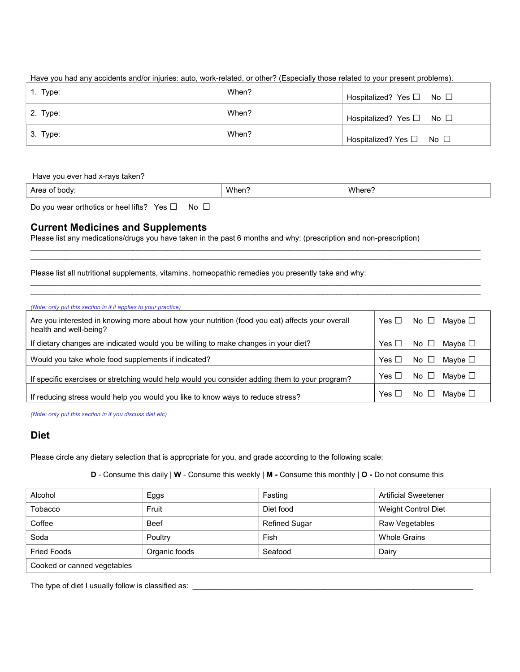Have you had any accidents and/or injuries: auto, work-related, or other? (Especially those related to your present problems).

| $\vert$ 1. Type: | When? | Hospitalized? Yes □ No □                 |
|------------------|-------|------------------------------------------|
| 2. Type:         | When? | Hospitalized? Yes □ No □                 |
| $3.$ Type:       | When? | Hospitalized? Yes $\square$ No $\square$ |

#### Have you ever had x-rays taken?

| Are<br>m<br>$\sim$ $\sim$ | When<br>. | <b>MIL</b> |
|---------------------------|-----------|------------|
|                           |           |            |

 $\mathcal{L}_\mathcal{L} = \{ \mathcal{L}_\mathcal{L} = \{ \mathcal{L}_\mathcal{L} = \{ \mathcal{L}_\mathcal{L} = \{ \mathcal{L}_\mathcal{L} = \{ \mathcal{L}_\mathcal{L} = \{ \mathcal{L}_\mathcal{L} = \{ \mathcal{L}_\mathcal{L} = \{ \mathcal{L}_\mathcal{L} = \{ \mathcal{L}_\mathcal{L} = \{ \mathcal{L}_\mathcal{L} = \{ \mathcal{L}_\mathcal{L} = \{ \mathcal{L}_\mathcal{L} = \{ \mathcal{L}_\mathcal{L} = \{ \mathcal{L}_\mathcal{$  $\mathcal{L}_\mathcal{L} = \{ \mathcal{L}_\mathcal{L} = \{ \mathcal{L}_\mathcal{L} = \{ \mathcal{L}_\mathcal{L} = \{ \mathcal{L}_\mathcal{L} = \{ \mathcal{L}_\mathcal{L} = \{ \mathcal{L}_\mathcal{L} = \{ \mathcal{L}_\mathcal{L} = \{ \mathcal{L}_\mathcal{L} = \{ \mathcal{L}_\mathcal{L} = \{ \mathcal{L}_\mathcal{L} = \{ \mathcal{L}_\mathcal{L} = \{ \mathcal{L}_\mathcal{L} = \{ \mathcal{L}_\mathcal{L} = \{ \mathcal{L}_\mathcal{$ 

 $\mathcal{L}_\mathcal{L} = \{ \mathcal{L}_\mathcal{L} = \{ \mathcal{L}_\mathcal{L} = \{ \mathcal{L}_\mathcal{L} = \{ \mathcal{L}_\mathcal{L} = \{ \mathcal{L}_\mathcal{L} = \{ \mathcal{L}_\mathcal{L} = \{ \mathcal{L}_\mathcal{L} = \{ \mathcal{L}_\mathcal{L} = \{ \mathcal{L}_\mathcal{L} = \{ \mathcal{L}_\mathcal{L} = \{ \mathcal{L}_\mathcal{L} = \{ \mathcal{L}_\mathcal{L} = \{ \mathcal{L}_\mathcal{L} = \{ \mathcal{L}_\mathcal{$  $\mathcal{L}_\mathcal{L} = \{ \mathcal{L}_\mathcal{L} = \{ \mathcal{L}_\mathcal{L} = \{ \mathcal{L}_\mathcal{L} = \{ \mathcal{L}_\mathcal{L} = \{ \mathcal{L}_\mathcal{L} = \{ \mathcal{L}_\mathcal{L} = \{ \mathcal{L}_\mathcal{L} = \{ \mathcal{L}_\mathcal{L} = \{ \mathcal{L}_\mathcal{L} = \{ \mathcal{L}_\mathcal{L} = \{ \mathcal{L}_\mathcal{L} = \{ \mathcal{L}_\mathcal{L} = \{ \mathcal{L}_\mathcal{L} = \{ \mathcal{L}_\mathcal{$ 

Do you wear orthotics or heel lifts? Yes □ No □

#### Current Medicines and Supplements

Please list any medications/drugs you have taken in the past 6 months and why: (prescription and non-prescription)

Please list all nutritional supplements, vitamins, homeopathic remedies you presently take and why:

| (Note: only put this section in if it applies to your practice)                                                           |            |                           |
|---------------------------------------------------------------------------------------------------------------------------|------------|---------------------------|
| Are you interested in knowing more about how your nutrition (food you eat) affects your overall<br>health and well-being? | Yes $\Box$ | No $\Box$ Maybe $\Box$    |
| If dietary changes are indicated would you be willing to make changes in your diet?                                       | Yes $\Box$ | Maybe $□$<br>No $\Box$    |
| Would you take whole food supplements if indicated?                                                                       | Yes $\Box$ | Maybe □<br>No $\Box$      |
| If specific exercises or stretching would help would you consider adding them to your program?                            | Yes $\Box$ | No $\Box$<br>Maybe $□$    |
| If reducing stress would help you would you like to know ways to reduce stress?                                           | Yes L      | Maybe $\Box$<br>$No \cup$ |

(Note: only put this section in if you discuss diet etc)

## Diet

Please circle any dietary selection that is appropriate for you, and grade according to the following scale:

D - Consume this daily | W - Consume this weekly | M - Consume this monthly | O - Do not consume this

| Alcohol                     | Eggs          | Fasting              | <b>Artificial Sweetener</b> |  |
|-----------------------------|---------------|----------------------|-----------------------------|--|
| Tobacco                     | Fruit         | Diet food            | Weight Control Diet         |  |
| Coffee                      | <b>Beef</b>   | <b>Refined Sugar</b> | Raw Vegetables              |  |
| Soda                        | Poultry       | Fish                 | <b>Whole Grains</b>         |  |
| <b>Fried Foods</b>          | Organic foods | Seafood              | Dairy                       |  |
| Cooked or canned vegetables |               |                      |                             |  |

The type of diet I usually follow is classified as: \_\_\_\_\_\_\_\_\_\_\_\_\_\_\_\_\_\_\_\_\_\_\_\_\_\_\_\_